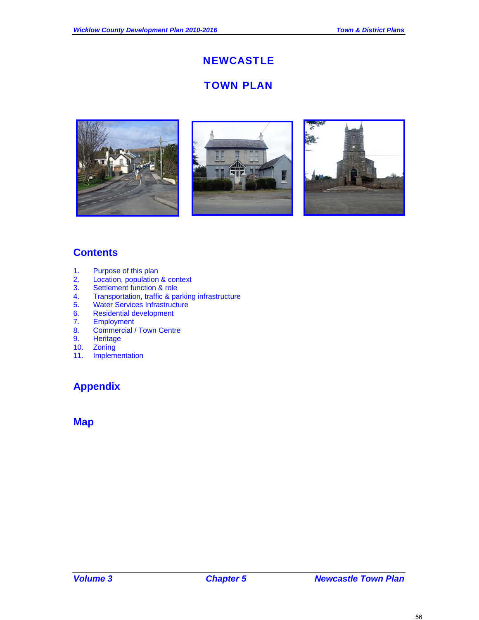# **NEWCASTLE**

# TOWN PLAN







# **Contents**

- 1. Purpose of this plan
- 2. Location, population & context
- 3. Settlement function & role<br>4. Transportation, traffic & pa
- 4. Transportation, traffic & parking infrastructure<br>5. Water Services Infrastructure
- 5. Water Services Infrastructure<br>6. Residential development
- 6. Residential development<br>7. Employment
- 7. Employment
- 8. Commercial / Town Centre
- 9. Heritage
- 10. Zoning
- 11. Implementation

# **Appendix**

## **Map**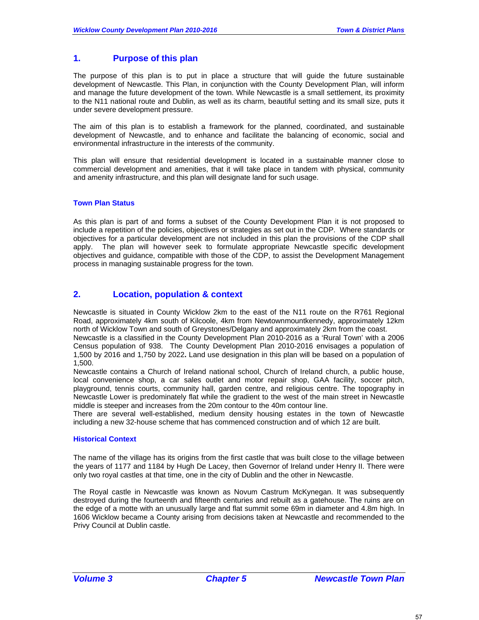## **1. Purpose of this plan**

The purpose of this plan is to put in place a structure that will guide the future sustainable development of Newcastle. This Plan, in conjunction with the County Development Plan, will inform and manage the future development of the town. While Newcastle is a small settlement, its proximity to the N11 national route and Dublin, as well as its charm, beautiful setting and its small size, puts it under severe development pressure.

The aim of this plan is to establish a framework for the planned, coordinated, and sustainable development of Newcastle, and to enhance and facilitate the balancing of economic, social and environmental infrastructure in the interests of the community.

This plan will ensure that residential development is located in a sustainable manner close to commercial development and amenities, that it will take place in tandem with physical, community and amenity infrastructure, and this plan will designate land for such usage.

### **Town Plan Status**

As this plan is part of and forms a subset of the County Development Plan it is not proposed to include a repetition of the policies, objectives or strategies as set out in the CDP. Where standards or objectives for a particular development are not included in this plan the provisions of the CDP shall apply. The plan will however seek to formulate appropriate Newcastle specific development objectives and guidance, compatible with those of the CDP, to assist the Development Management process in managing sustainable progress for the town.

## **2. Location, population & context**

Newcastle is situated in County Wicklow 2km to the east of the N11 route on the R761 Regional Road, approximately 4km south of Kilcoole, 4km from Newtownmountkennedy, approximately 12km north of Wicklow Town and south of Greystones/Delgany and approximately 2km from the coast.

Newcastle is a classified in the County Development Plan 2010-2016 as a 'Rural Town' with a 2006 Census population of 938. The County Development Plan 2010-2016 envisages a population of 1,500 by 2016 and 1,750 by 2022**.** Land use designation in this plan will be based on a population of 1,500.

Newcastle contains a Church of Ireland national school, Church of Ireland church, a public house, local convenience shop, a car sales outlet and motor repair shop, GAA facility, soccer pitch, playground, tennis courts, community hall, garden centre, and religious centre. The topography in Newcastle Lower is predominately flat while the gradient to the west of the main street in Newcastle middle is steeper and increases from the 20m contour to the 40m contour line.

There are several well-established, medium density housing estates in the town of Newcastle including a new 32-house scheme that has commenced construction and of which 12 are built.

#### **Historical Context**

The name of the village has its origins from the first castle that was built close to the village between the years of 1177 and 1184 by Hugh De Lacey, then Governor of Ireland under Henry II. There were only two royal castles at that time, one in the city of Dublin and the other in Newcastle.

The Royal castle in Newcastle was known as Novum Castrum McKynegan. It was subsequently destroyed during the fourteenth and fifteenth centuries and rebuilt as a gatehouse. The ruins are on the edge of a motte with an unusually large and flat summit some 69m in diameter and 4.8m high. In 1606 Wicklow became a County arising from decisions taken at Newcastle and recommended to the Privy Council at Dublin castle.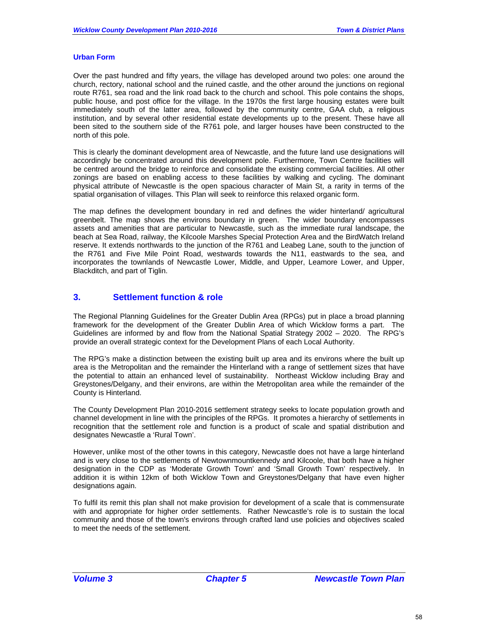### **Urban Form**

Over the past hundred and fifty years, the village has developed around two poles: one around the church, rectory, national school and the ruined castle, and the other around the junctions on regional route R761, sea road and the link road back to the church and school. This pole contains the shops, public house, and post office for the village. In the 1970s the first large housing estates were built immediately south of the latter area, followed by the community centre, GAA club, a religious institution, and by several other residential estate developments up to the present. These have all been sited to the southern side of the R761 pole, and larger houses have been constructed to the north of this pole.

This is clearly the dominant development area of Newcastle, and the future land use designations will accordingly be concentrated around this development pole. Furthermore, Town Centre facilities will be centred around the bridge to reinforce and consolidate the existing commercial facilities. All other zonings are based on enabling access to these facilities by walking and cycling. The dominant physical attribute of Newcastle is the open spacious character of Main St, a rarity in terms of the spatial organisation of villages. This Plan will seek to reinforce this relaxed organic form.

The map defines the development boundary in red and defines the wider hinterland/ agricultural greenbelt. The map shows the environs boundary in green. The wider boundary encompasses assets and amenities that are particular to Newcastle, such as the immediate rural landscape, the beach at Sea Road, railway, the Kilcoole Marshes Special Protection Area and the BirdWatch Ireland reserve. It extends northwards to the junction of the R761 and Leabeg Lane, south to the junction of the R761 and Five Mile Point Road, westwards towards the N11, eastwards to the sea, and incorporates the townlands of Newcastle Lower, Middle, and Upper, Leamore Lower, and Upper, Blackditch, and part of Tiglin.

## **3. Settlement function & role**

The Regional Planning Guidelines for the Greater Dublin Area (RPGs) put in place a broad planning framework for the development of the Greater Dublin Area of which Wicklow forms a part. The Guidelines are informed by and flow from the National Spatial Strategy 2002 – 2020. The RPG's provide an overall strategic context for the Development Plans of each Local Authority.

The RPG's make a distinction between the existing built up area and its environs where the built up area is the Metropolitan and the remainder the Hinterland with a range of settlement sizes that have the potential to attain an enhanced level of sustainability. Northeast Wicklow including Bray and Greystones/Delgany, and their environs, are within the Metropolitan area while the remainder of the County is Hinterland.

The County Development Plan 2010-2016 settlement strategy seeks to locate population growth and channel development in line with the principles of the RPGs. It promotes a hierarchy of settlements in recognition that the settlement role and function is a product of scale and spatial distribution and designates Newcastle a 'Rural Town'.

However, unlike most of the other towns in this category, Newcastle does not have a large hinterland and is very close to the settlements of Newtownmountkennedy and Kilcoole, that both have a higher designation in the CDP as 'Moderate Growth Town' and 'Small Growth Town' respectively. In addition it is within 12km of both Wicklow Town and Greystones/Delgany that have even higher designations again.

To fulfil its remit this plan shall not make provision for development of a scale that is commensurate with and appropriate for higher order settlements. Rather Newcastle's role is to sustain the local community and those of the town's environs through crafted land use policies and objectives scaled to meet the needs of the settlement.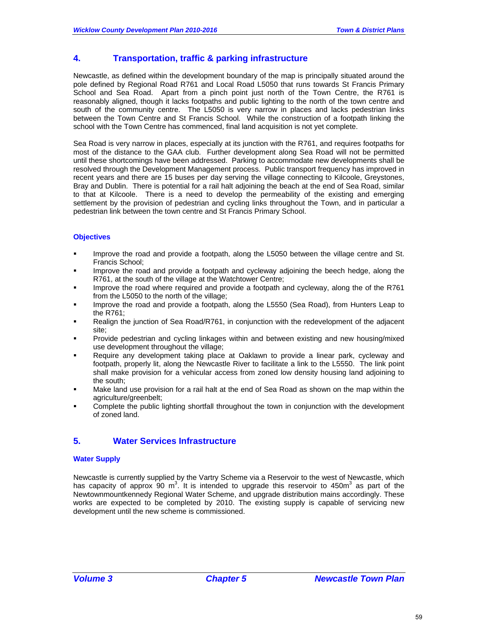## **4. Transportation, traffic & parking infrastructure**

Newcastle, as defined within the development boundary of the map is principally situated around the pole defined by Regional Road R761 and Local Road L5050 that runs towards St Francis Primary School and Sea Road. Apart from a pinch point just north of the Town Centre, the R761 is reasonably aligned, though it lacks footpaths and public lighting to the north of the town centre and south of the community centre. The L5050 is very narrow in places and lacks pedestrian links between the Town Centre and St Francis School. While the construction of a footpath linking the school with the Town Centre has commenced, final land acquisition is not yet complete.

Sea Road is very narrow in places, especially at its junction with the R761, and requires footpaths for most of the distance to the GAA club. Further development along Sea Road will not be permitted until these shortcomings have been addressed. Parking to accommodate new developments shall be resolved through the Development Management process. Public transport frequency has improved in recent years and there are 15 buses per day serving the village connecting to Kilcoole, Greystones, Bray and Dublin. There is potential for a rail halt adjoining the beach at the end of Sea Road, similar to that at Kilcoole. There is a need to develop the permeability of the existing and emerging settlement by the provision of pedestrian and cycling links throughout the Town, and in particular a pedestrian link between the town centre and St Francis Primary School.

### **Objectives**

- Improve the road and provide a footpath, along the L5050 between the village centre and St. Francis School;
- Improve the road and provide a footpath and cycleway adjoining the beech hedge, along the R761, at the south of the village at the Watchtower Centre;
- Improve the road where required and provide a footpath and cycleway, along the of the R761 from the L5050 to the north of the village;
- Improve the road and provide a footpath, along the L5550 (Sea Road), from Hunters Leap to the R761;
- Realign the junction of Sea Road/R761, in conjunction with the redevelopment of the adjacent site;
- Provide pedestrian and cycling linkages within and between existing and new housing/mixed use development throughout the village;
- Require any development taking place at Oaklawn to provide a linear park, cycleway and footpath, properly lit, along the Newcastle River to facilitate a link to the L5550. The link point shall make provision for a vehicular access from zoned low density housing land adjoining to the south;
- Make land use provision for a rail halt at the end of Sea Road as shown on the map within the agriculture/greenbelt;
- Complete the public lighting shortfall throughout the town in conjunction with the development of zoned land.

## **5. Water Services Infrastructure**

### **Water Supply**

Newcastle is currently supplied by the Vartry Scheme via a Reservoir to the west of Newcastle, which has capacity of approx 90 m<sup>3</sup>. It is intended to upgrade this reservoir to 450m<sup>3</sup> as part of the Newtownmountkennedy Regional Water Scheme, and upgrade distribution mains accordingly. These works are expected to be completed by 2010. The existing supply is capable of servicing new development until the new scheme is commissioned.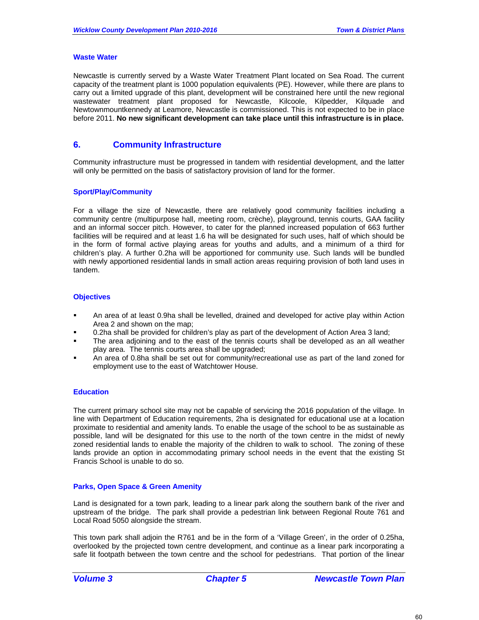### **Waste Water**

Newcastle is currently served by a Waste Water Treatment Plant located on Sea Road. The current capacity of the treatment plant is 1000 population equivalents (PE). However, while there are plans to carry out a limited upgrade of this plant, development will be constrained here until the new regional wastewater treatment plant proposed for Newcastle, Kilcoole, Kilpedder, Kilquade and Newtownmountkennedy at Leamore, Newcastle is commissioned. This is not expected to be in place before 2011. **No new significant development can take place until this infrastructure is in place.** 

### **6. Community Infrastructure**

Community infrastructure must be progressed in tandem with residential development, and the latter will only be permitted on the basis of satisfactory provision of land for the former.

### **Sport/Play/Community**

For a village the size of Newcastle, there are relatively good community facilities including a community centre (multipurpose hall, meeting room, crèche), playground, tennis courts, GAA facility and an informal soccer pitch. However, to cater for the planned increased population of 663 further facilities will be required and at least 1.6 ha will be designated for such uses, half of which should be in the form of formal active playing areas for youths and adults, and a minimum of a third for children's play. A further 0.2ha will be apportioned for community use. Such lands will be bundled with newly apportioned residential lands in small action areas requiring provision of both land uses in tandem.

### **Objectives**

- An area of at least 0.9ha shall be levelled, drained and developed for active play within Action Area 2 and shown on the map;
- 0.2ha shall be provided for children's play as part of the development of Action Area 3 land;
- The area adjoining and to the east of the tennis courts shall be developed as an all weather play area. The tennis courts area shall be upgraded;
- An area of 0.8ha shall be set out for community/recreational use as part of the land zoned for employment use to the east of Watchtower House.

### **Education**

The current primary school site may not be capable of servicing the 2016 population of the village. In line with Department of Education requirements, 2ha is designated for educational use at a location proximate to residential and amenity lands. To enable the usage of the school to be as sustainable as possible, land will be designated for this use to the north of the town centre in the midst of newly zoned residential lands to enable the majority of the children to walk to school. The zoning of these lands provide an option in accommodating primary school needs in the event that the existing St Francis School is unable to do so.

### **Parks, Open Space & Green Amenity**

Land is designated for a town park, leading to a linear park along the southern bank of the river and upstream of the bridge. The park shall provide a pedestrian link between Regional Route 761 and Local Road 5050 alongside the stream.

This town park shall adjoin the R761 and be in the form of a 'Village Green', in the order of 0.25ha, overlooked by the projected town centre development, and continue as a linear park incorporating a safe lit footpath between the town centre and the school for pedestrians. That portion of the linear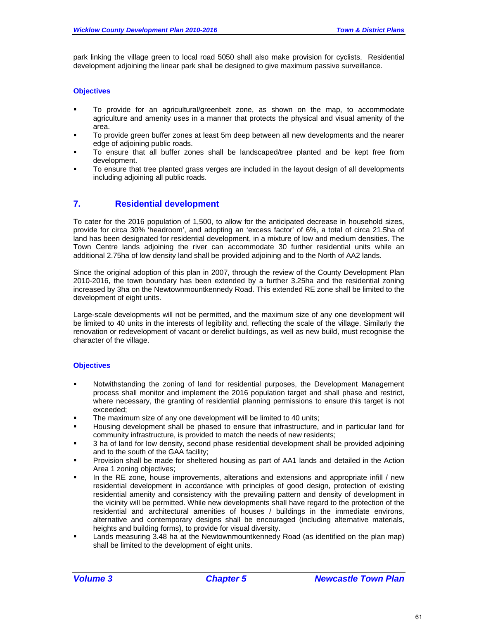park linking the village green to local road 5050 shall also make provision for cyclists. Residential development adjoining the linear park shall be designed to give maximum passive surveillance.

### **Objectives**

- To provide for an agricultural/greenbelt zone, as shown on the map, to accommodate agriculture and amenity uses in a manner that protects the physical and visual amenity of the area.
- To provide green buffer zones at least 5m deep between all new developments and the nearer edge of adjoining public roads.
- To ensure that all buffer zones shall be landscaped/tree planted and be kept free from development.
- To ensure that tree planted grass verges are included in the layout design of all developments including adjoining all public roads.

### **7. Residential development**

To cater for the 2016 population of 1,500, to allow for the anticipated decrease in household sizes, provide for circa 30% 'headroom', and adopting an 'excess factor' of 6%, a total of circa 21.5ha of land has been designated for residential development, in a mixture of low and medium densities. The Town Centre lands adjoining the river can accommodate 30 further residential units while an additional 2.75ha of low density land shall be provided adjoining and to the North of AA2 lands.

Since the original adoption of this plan in 2007, through the review of the County Development Plan 2010-2016, the town boundary has been extended by a further 3.25ha and the residential zoning increased by 3ha on the Newtownmountkennedy Road. This extended RE zone shall be limited to the development of eight units.

Large-scale developments will not be permitted, and the maximum size of any one development will be limited to 40 units in the interests of legibility and, reflecting the scale of the village. Similarly the renovation or redevelopment of vacant or derelict buildings, as well as new build, must recognise the character of the village.

### **Objectives**

- Notwithstanding the zoning of land for residential purposes, the Development Management process shall monitor and implement the 2016 population target and shall phase and restrict, where necessary, the granting of residential planning permissions to ensure this target is not exceeded;
- The maximum size of any one development will be limited to 40 units;
- Housing development shall be phased to ensure that infrastructure, and in particular land for community infrastructure, is provided to match the needs of new residents;
- 3 ha of land for low density, second phase residential development shall be provided adjoining and to the south of the GAA facility;
- Provision shall be made for sheltered housing as part of AA1 lands and detailed in the Action Area 1 zoning objectives;
- In the RE zone, house improvements, alterations and extensions and appropriate infill / new residential development in accordance with principles of good design, protection of existing residential amenity and consistency with the prevailing pattern and density of development in the vicinity will be permitted. While new developments shall have regard to the protection of the residential and architectural amenities of houses / buildings in the immediate environs, alternative and contemporary designs shall be encouraged (including alternative materials, heights and building forms), to provide for visual diversity.
- Lands measuring 3.48 ha at the Newtownmountkennedy Road (as identified on the plan map) shall be limited to the development of eight units.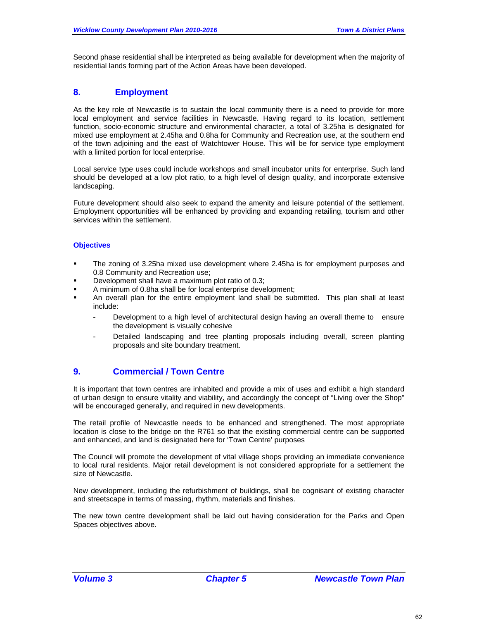Second phase residential shall be interpreted as being available for development when the majority of residential lands forming part of the Action Areas have been developed.

## **8. Employment**

As the key role of Newcastle is to sustain the local community there is a need to provide for more local employment and service facilities in Newcastle. Having regard to its location, settlement function, socio-economic structure and environmental character, a total of 3.25ha is designated for mixed use employment at 2.45ha and 0.8ha for Community and Recreation use, at the southern end of the town adjoining and the east of Watchtower House. This will be for service type employment with a limited portion for local enterprise.

Local service type uses could include workshops and small incubator units for enterprise. Such land should be developed at a low plot ratio, to a high level of design quality, and incorporate extensive landscaping.

Future development should also seek to expand the amenity and leisure potential of the settlement. Employment opportunities will be enhanced by providing and expanding retailing, tourism and other services within the settlement.

### **Objectives**

- The zoning of 3.25ha mixed use development where 2.45ha is for employment purposes and 0.8 Community and Recreation use;
- Development shall have a maximum plot ratio of 0.3;
- A minimum of 0.8ha shall be for local enterprise development;
- An overall plan for the entire employment land shall be submitted. This plan shall at least include:
	- Development to a high level of architectural design having an overall theme to ensure the development is visually cohesive
	- Detailed landscaping and tree planting proposals including overall, screen planting proposals and site boundary treatment.

## **9. Commercial / Town Centre**

It is important that town centres are inhabited and provide a mix of uses and exhibit a high standard of urban design to ensure vitality and viability, and accordingly the concept of "Living over the Shop" will be encouraged generally, and required in new developments.

The retail profile of Newcastle needs to be enhanced and strengthened. The most appropriate location is close to the bridge on the R761 so that the existing commercial centre can be supported and enhanced, and land is designated here for 'Town Centre' purposes

The Council will promote the development of vital village shops providing an immediate convenience to local rural residents. Major retail development is not considered appropriate for a settlement the size of Newcastle.

New development, including the refurbishment of buildings, shall be cognisant of existing character and streetscape in terms of massing, rhythm, materials and finishes.

The new town centre development shall be laid out having consideration for the Parks and Open Spaces objectives above.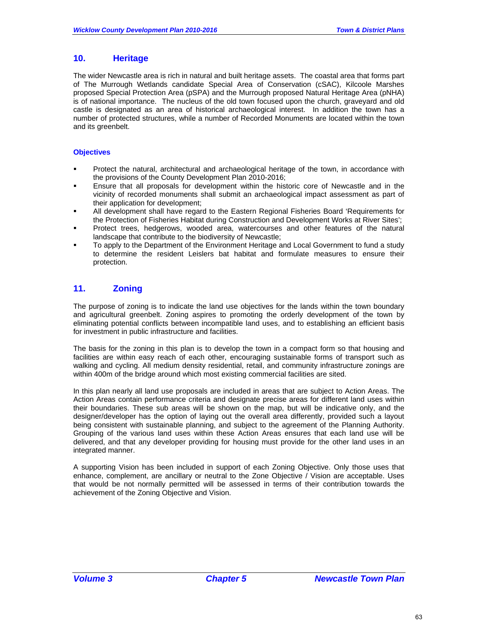## **10. Heritage**

The wider Newcastle area is rich in natural and built heritage assets. The coastal area that forms part of The Murrough Wetlands candidate Special Area of Conservation (cSAC), Kilcoole Marshes proposed Special Protection Area (pSPA) and the Murrough proposed Natural Heritage Area (pNHA) is of national importance. The nucleus of the old town focused upon the church, graveyard and old castle is designated as an area of historical archaeological interest. In addition the town has a number of protected structures, while a number of Recorded Monuments are located within the town and its greenbelt.

### **Objectives**

- Protect the natural, architectural and archaeological heritage of the town, in accordance with the provisions of the County Development Plan 2010-2016;
- Ensure that all proposals for development within the historic core of Newcastle and in the vicinity of recorded monuments shall submit an archaeological impact assessment as part of their application for development;
- All development shall have regard to the Eastern Regional Fisheries Board 'Requirements for the Protection of Fisheries Habitat during Construction and Development Works at River Sites';
- Protect trees, hedgerows, wooded area, watercourses and other features of the natural landscape that contribute to the biodiversity of Newcastle;
- To apply to the Department of the Environment Heritage and Local Government to fund a study to determine the resident Leislers bat habitat and formulate measures to ensure their protection.

## **11. Zoning**

The purpose of zoning is to indicate the land use objectives for the lands within the town boundary and agricultural greenbelt. Zoning aspires to promoting the orderly development of the town by eliminating potential conflicts between incompatible land uses, and to establishing an efficient basis for investment in public infrastructure and facilities.

The basis for the zoning in this plan is to develop the town in a compact form so that housing and facilities are within easy reach of each other, encouraging sustainable forms of transport such as walking and cycling. All medium density residential, retail, and community infrastructure zonings are within 400m of the bridge around which most existing commercial facilities are sited.

In this plan nearly all land use proposals are included in areas that are subject to Action Areas. The Action Areas contain performance criteria and designate precise areas for different land uses within their boundaries. These sub areas will be shown on the map, but will be indicative only, and the designer/developer has the option of laying out the overall area differently, provided such a layout being consistent with sustainable planning, and subject to the agreement of the Planning Authority. Grouping of the various land uses within these Action Areas ensures that each land use will be delivered, and that any developer providing for housing must provide for the other land uses in an integrated manner.

A supporting Vision has been included in support of each Zoning Objective. Only those uses that enhance, complement, are ancillary or neutral to the Zone Objective / Vision are acceptable. Uses that would be not normally permitted will be assessed in terms of their contribution towards the achievement of the Zoning Objective and Vision.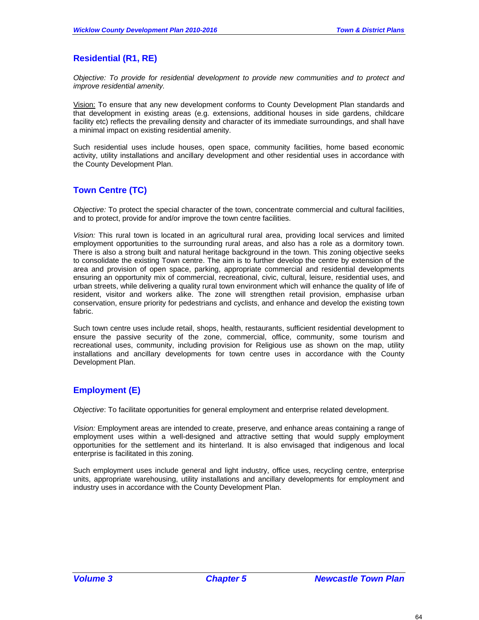## **Residential (R1, RE)**

*Objective: To provide for residential development to provide new communities and to protect and improve residential amenity.* 

Vision: To ensure that any new development conforms to County Development Plan standards and that development in existing areas (e.g. extensions, additional houses in side gardens, childcare facility etc) reflects the prevailing density and character of its immediate surroundings, and shall have a minimal impact on existing residential amenity.

Such residential uses include houses, open space, community facilities, home based economic activity, utility installations and ancillary development and other residential uses in accordance with the County Development Plan.

## **Town Centre (TC)**

*Objective:* To protect the special character of the town, concentrate commercial and cultural facilities, and to protect, provide for and/or improve the town centre facilities.

*Vision:* This rural town is located in an agricultural rural area, providing local services and limited employment opportunities to the surrounding rural areas, and also has a role as a dormitory town. There is also a strong built and natural heritage background in the town. This zoning objective seeks to consolidate the existing Town centre. The aim is to further develop the centre by extension of the area and provision of open space, parking, appropriate commercial and residential developments ensuring an opportunity mix of commercial, recreational, civic, cultural, leisure, residential uses, and urban streets, while delivering a quality rural town environment which will enhance the quality of life of resident, visitor and workers alike. The zone will strengthen retail provision, emphasise urban conservation, ensure priority for pedestrians and cyclists, and enhance and develop the existing town fabric.

Such town centre uses include retail, shops, health, restaurants, sufficient residential development to ensure the passive security of the zone, commercial, office, community, some tourism and recreational uses, community, including provision for Religious use as shown on the map, utility installations and ancillary developments for town centre uses in accordance with the County Development Plan.

## **Employment (E)**

*Objective*: To facilitate opportunities for general employment and enterprise related development.

*Vision:* Employment areas are intended to create, preserve, and enhance areas containing a range of employment uses within a well-designed and attractive setting that would supply employment opportunities for the settlement and its hinterland. It is also envisaged that indigenous and local enterprise is facilitated in this zoning.

Such employment uses include general and light industry, office uses, recycling centre, enterprise units, appropriate warehousing, utility installations and ancillary developments for employment and industry uses in accordance with the County Development Plan.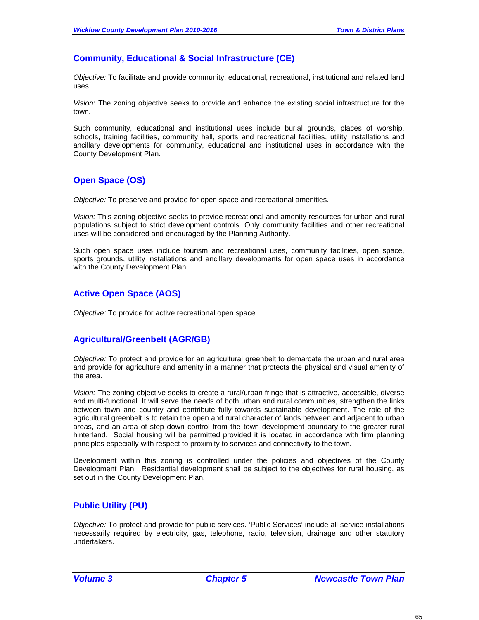## **Community, Educational & Social Infrastructure (CE)**

*Objective:* To facilitate and provide community, educational, recreational, institutional and related land uses.

*Vision:* The zoning objective seeks to provide and enhance the existing social infrastructure for the town.

Such community, educational and institutional uses include burial grounds, places of worship, schools, training facilities, community hall, sports and recreational facilities, utility installations and ancillary developments for community, educational and institutional uses in accordance with the County Development Plan.

## **Open Space (OS)**

*Objective:* To preserve and provide for open space and recreational amenities.

*Vision:* This zoning objective seeks to provide recreational and amenity resources for urban and rural populations subject to strict development controls. Only community facilities and other recreational uses will be considered and encouraged by the Planning Authority.

Such open space uses include tourism and recreational uses, community facilities, open space, sports grounds, utility installations and ancillary developments for open space uses in accordance with the County Development Plan.

## **Active Open Space (AOS)**

*Objective:* To provide for active recreational open space

## **Agricultural/Greenbelt (AGR/GB)**

*Objective:* To protect and provide for an agricultural greenbelt to demarcate the urban and rural area and provide for agriculture and amenity in a manner that protects the physical and visual amenity of the area.

*Vision:* The zoning objective seeks to create a rural/urban fringe that is attractive, accessible, diverse and multi-functional. It will serve the needs of both urban and rural communities, strengthen the links between town and country and contribute fully towards sustainable development. The role of the agricultural greenbelt is to retain the open and rural character of lands between and adjacent to urban areas, and an area of step down control from the town development boundary to the greater rural hinterland. Social housing will be permitted provided it is located in accordance with firm planning principles especially with respect to proximity to services and connectivity to the town.

Development within this zoning is controlled under the policies and objectives of the County Development Plan. Residential development shall be subject to the objectives for rural housing, as set out in the County Development Plan.

### **Public Utility (PU)**

*Objective:* To protect and provide for public services. 'Public Services' include all service installations necessarily required by electricity, gas, telephone, radio, television, drainage and other statutory undertakers.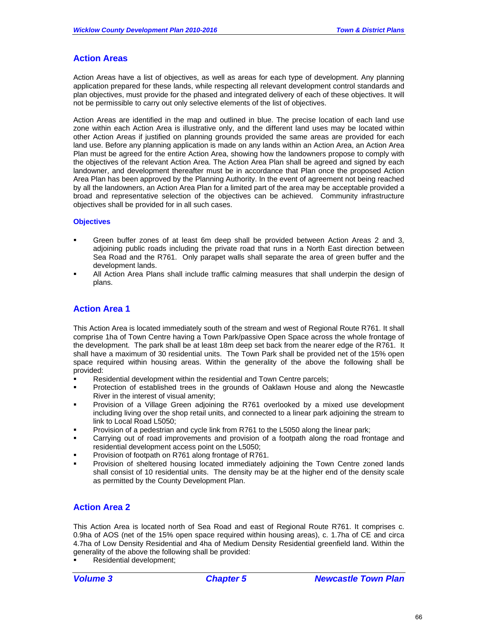## **Action Areas**

Action Areas have a list of objectives, as well as areas for each type of development. Any planning application prepared for these lands, while respecting all relevant development control standards and plan objectives, must provide for the phased and integrated delivery of each of these objectives. It will not be permissible to carry out only selective elements of the list of objectives.

Action Areas are identified in the map and outlined in blue. The precise location of each land use zone within each Action Area is illustrative only, and the different land uses may be located within other Action Areas if justified on planning grounds provided the same areas are provided for each land use. Before any planning application is made on any lands within an Action Area, an Action Area Plan must be agreed for the entire Action Area, showing how the landowners propose to comply with the objectives of the relevant Action Area. The Action Area Plan shall be agreed and signed by each landowner, and development thereafter must be in accordance that Plan once the proposed Action Area Plan has been approved by the Planning Authority. In the event of agreement not being reached by all the landowners, an Action Area Plan for a limited part of the area may be acceptable provided a broad and representative selection of the objectives can be achieved. Community infrastructure objectives shall be provided for in all such cases.

### **Objectives**

- Green buffer zones of at least 6m deep shall be provided between Action Areas 2 and 3, adjoining public roads including the private road that runs in a North East direction between Sea Road and the R761. Only parapet walls shall separate the area of green buffer and the development lands.
- All Action Area Plans shall include traffic calming measures that shall underpin the design of plans.

## **Action Area 1**

This Action Area is located immediately south of the stream and west of Regional Route R761. It shall comprise 1ha of Town Centre having a Town Park/passive Open Space across the whole frontage of the development. The park shall be at least 18m deep set back from the nearer edge of the R761. It shall have a maximum of 30 residential units. The Town Park shall be provided net of the 15% open space required within housing areas. Within the generality of the above the following shall be provided:

- Residential development within the residential and Town Centre parcels;
- Protection of established trees in the grounds of Oaklawn House and along the Newcastle River in the interest of visual amenity;
- Provision of a Village Green adjoining the R761 overlooked by a mixed use development including living over the shop retail units, and connected to a linear park adjoining the stream to link to Local Road L5050;
- Provision of a pedestrian and cycle link from R761 to the L5050 along the linear park;
- Carrying out of road improvements and provision of a footpath along the road frontage and residential development access point on the L5050;
- Provision of footpath on R761 along frontage of R761.
- Provision of sheltered housing located immediately adjoining the Town Centre zoned lands shall consist of 10 residential units. The density may be at the higher end of the density scale as permitted by the County Development Plan.

### **Action Area 2**

This Action Area is located north of Sea Road and east of Regional Route R761. It comprises c. 0.9ha of AOS (net of the 15% open space required within housing areas), c. 1.7ha of CE and circa 4.7ha of Low Density Residential and 4ha of Medium Density Residential greenfield land. Within the generality of the above the following shall be provided:

Residential development;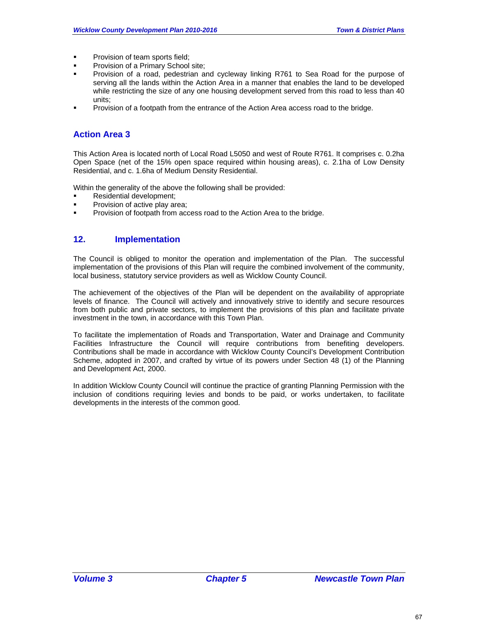- **Provision of team sports field:**
- Provision of a Primary School site;
- Provision of a road, pedestrian and cycleway linking R761 to Sea Road for the purpose of serving all the lands within the Action Area in a manner that enables the land to be developed while restricting the size of any one housing development served from this road to less than 40 units;
- Provision of a footpath from the entrance of the Action Area access road to the bridge.

### **Action Area 3**

This Action Area is located north of Local Road L5050 and west of Route R761. It comprises c. 0.2ha Open Space (net of the 15% open space required within housing areas), c. 2.1ha of Low Density Residential, and c. 1.6ha of Medium Density Residential.

Within the generality of the above the following shall be provided:

- Residential development;
- Provision of active play area;
- **Provision of footpath from access road to the Action Area to the bridge.**

## **12. Implementation**

The Council is obliged to monitor the operation and implementation of the Plan. The successful implementation of the provisions of this Plan will require the combined involvement of the community, local business, statutory service providers as well as Wicklow County Council.

The achievement of the objectives of the Plan will be dependent on the availability of appropriate levels of finance. The Council will actively and innovatively strive to identify and secure resources from both public and private sectors, to implement the provisions of this plan and facilitate private investment in the town, in accordance with this Town Plan.

To facilitate the implementation of Roads and Transportation, Water and Drainage and Community Facilities Infrastructure the Council will require contributions from benefiting developers. Contributions shall be made in accordance with Wicklow County Council's Development Contribution Scheme, adopted in 2007, and crafted by virtue of its powers under Section 48 (1) of the Planning and Development Act, 2000.

In addition Wicklow County Council will continue the practice of granting Planning Permission with the inclusion of conditions requiring levies and bonds to be paid, or works undertaken, to facilitate developments in the interests of the common good.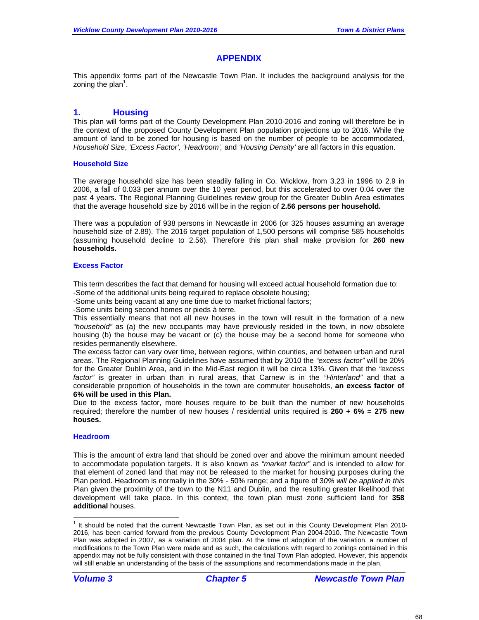## **APPENDIX**

This appendix forms part of the Newcastle Town Plan. It includes the background analysis for the zoning the plan<sup>1</sup>.

### **1. Housing**

This plan will forms part of the County Development Plan 2010-2016 and zoning will therefore be in the context of the proposed County Development Plan population projections up to 2016. While the amount of land to be zoned for housing is based on the number of people to be accommodated, *Household Size*, *'Excess Factor', 'Headroom',* and *'Housing Density'* are all factors in this equation.

### **Household Size**

The average household size has been steadily falling in Co. Wicklow, from 3.23 in 1996 to 2.9 in 2006, a fall of 0.033 per annum over the 10 year period, but this accelerated to over 0.04 over the past 4 years. The Regional Planning Guidelines review group for the Greater Dublin Area estimates that the average household size by 2016 will be in the region of **2.56 persons per household.**

There was a population of 938 persons in Newcastle in 2006 (or 325 houses assuming an average household size of 2.89). The 2016 target population of 1,500 persons will comprise 585 households (assuming household decline to 2.56). Therefore this plan shall make provision for **260 new households.**

### **Excess Factor**

This term describes the fact that demand for housing will exceed actual household formation due to: -Some of the additional units being required to replace obsolete housing;

-Some units being vacant at any one time due to market frictional factors;

-Some units being second homes or pieds à terre.

This essentially means that not all new houses in the town will result in the formation of a new *"household"* as (a) the new occupants may have previously resided in the town, in now obsolete housing (b) the house may be vacant or (c) the house may be a second home for someone who resides permanently elsewhere.

The excess factor can vary over time, between regions, within counties, and between urban and rural areas. The Regional Planning Guidelines have assumed that by 2010 the *"excess factor"* will be 20% for the Greater Dublin Area, and in the Mid-East region it will be circa 13%. Given that the *"excess factor"* is greater in urban than in rural areas, that Carnew is in the *"Hinterland"* and that a considerable proportion of households in the town are commuter households, **an excess factor of 6% will be used in this Plan.**

Due to the excess factor, more houses require to be built than the number of new households required; therefore the number of new houses / residential units required is **260 + 6% = 275 new houses.** 

#### **Headroom**

This is the amount of extra land that should be zoned over and above the minimum amount needed to accommodate population targets. It is also known as *"market factor"* and is intended to allow for that element of zoned land that may not be released to the market for housing purposes during the Plan period. Headroom is normally in the 30% - 50% range; and a figure of 3*0% will be applied in this*  Plan given the proximity of the town to the N11 and Dublin, and the resulting greater likelihood that development will take place. In this context, the town plan must zone sufficient land for **358 additional** houses.

-

<sup>&</sup>lt;sup>1</sup> It should be noted that the current Newcastle Town Plan, as set out in this County Development Plan 2010-2016, has been carried forward from the previous County Development Plan 2004-2010. The Newcastle Town Plan was adopted in 2007, as a variation of 2004 plan. At the time of adoption of the variation, a number of modifications to the Town Plan were made and as such, the calculations with regard to zonings contained in this appendix may not be fully consistent with those contained in the final Town Plan adopted. However, this appendix will still enable an understanding of the basis of the assumptions and recommendations made in the plan.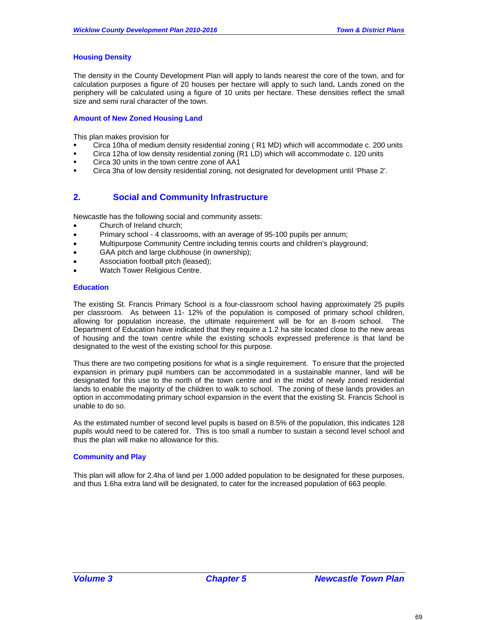### **Housing Density**

The density in the County Development Plan will apply to lands nearest the core of the town, and for calculation purposes a figure of 20 houses per hectare will apply to such land**.** Lands zoned on the periphery will be calculated using a figure of 10 units per hectare. These densities reflect the small size and semi rural character of the town.

### **Amount of New Zoned Housing Land**

This plan makes provision for

- Circa 10ha of medium density residential zoning ( R1 MD) which will accommodate c. 200 units
- Circa 12ha of low density residential zoning (R1 LD) which will accommodate c. 120 units
- **Circa 30 units in the town centre zone of AA1**
- Circa 3ha of low density residential zoning, not designated for development until 'Phase 2'.

## **2. Social and Community Infrastructure**

Newcastle has the following social and community assets:

- Church of Ireland church;
- Primary school 4 classrooms, with an average of 95-100 pupils per annum;
- Multipurpose Community Centre including tennis courts and children's playground;
- GAA pitch and large clubhouse (in ownership);
- Association football pitch (leased);
- Watch Tower Religious Centre.

#### **Education**

The existing St. Francis Primary School is a four-classroom school having approximately 25 pupils per classroom. As between 11- 12% of the population is composed of primary school children, allowing for population increase, the ultimate requirement will be for an 8-room school. The Department of Education have indicated that they require a 1.2 ha site located close to the new areas of housing and the town centre while the existing schools expressed preference is that land be designated to the west of the existing school for this purpose.

Thus there are two competing positions for what is a single requirement. To ensure that the projected expansion in primary pupil numbers can be accommodated in a sustainable manner, land will be designated for this use to the north of the town centre and in the midst of newly zoned residential lands to enable the majority of the children to walk to school. The zoning of these lands provides an option in accommodating primary school expansion in the event that the existing St. Francis School is unable to do so.

As the estimated number of second level pupils is based on 8.5% of the population, this indicates 128 pupils would need to be catered for. This is too small a number to sustain a second level school and thus the plan will make no allowance for this.

#### **Community and Play**

This plan will allow for 2.4ha of land per 1,000 added population to be designated for these purposes, and thus 1.6ha extra land will be designated, to cater for the increased population of 663 people.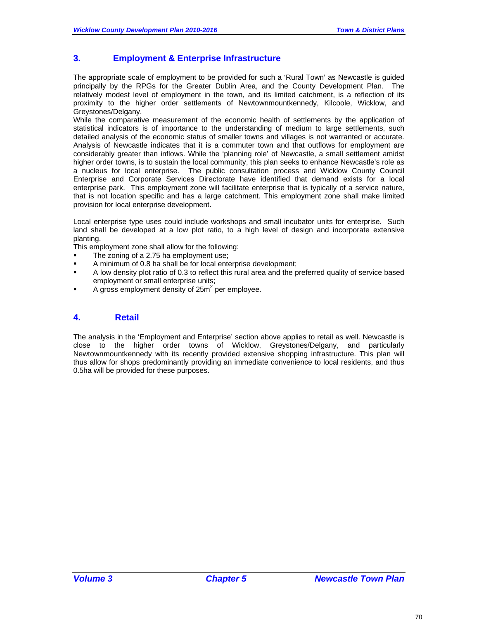## **3. Employment & Enterprise Infrastructure**

The appropriate scale of employment to be provided for such a 'Rural Town' as Newcastle is guided principally by the RPGs for the Greater Dublin Area, and the County Development Plan. The relatively modest level of employment in the town, and its limited catchment, is a reflection of its proximity to the higher order settlements of Newtownmountkennedy, Kilcoole, Wicklow, and Greystones/Delgany.

While the comparative measurement of the economic health of settlements by the application of statistical indicators is of importance to the understanding of medium to large settlements, such detailed analysis of the economic status of smaller towns and villages is not warranted or accurate. Analysis of Newcastle indicates that it is a commuter town and that outflows for employment are considerably greater than inflows. While the 'planning role' of Newcastle, a small settlement amidst higher order towns, is to sustain the local community, this plan seeks to enhance Newcastle's role as a nucleus for local enterprise. The public consultation process and Wicklow County Council Enterprise and Corporate Services Directorate have identified that demand exists for a local enterprise park. This employment zone will facilitate enterprise that is typically of a service nature, that is not location specific and has a large catchment. This employment zone shall make limited provision for local enterprise development.

Local enterprise type uses could include workshops and small incubator units for enterprise. Such land shall be developed at a low plot ratio, to a high level of design and incorporate extensive planting.

This employment zone shall allow for the following:

- The zoning of a 2.75 ha employment use;
- A minimum of 0.8 ha shall be for local enterprise development;
- A low density plot ratio of 0.3 to reflect this rural area and the preferred quality of service based employment or small enterprise units;
- $\blacksquare$  A gross employment density of 25m<sup>2</sup> per employee.

### **4. Retail**

The analysis in the 'Employment and Enterprise' section above applies to retail as well. Newcastle is close to the higher order towns of Wicklow, Greystones/Delgany, and particularly Newtownmountkennedy with its recently provided extensive shopping infrastructure. This plan will thus allow for shops predominantly providing an immediate convenience to local residents, and thus 0.5ha will be provided for these purposes.